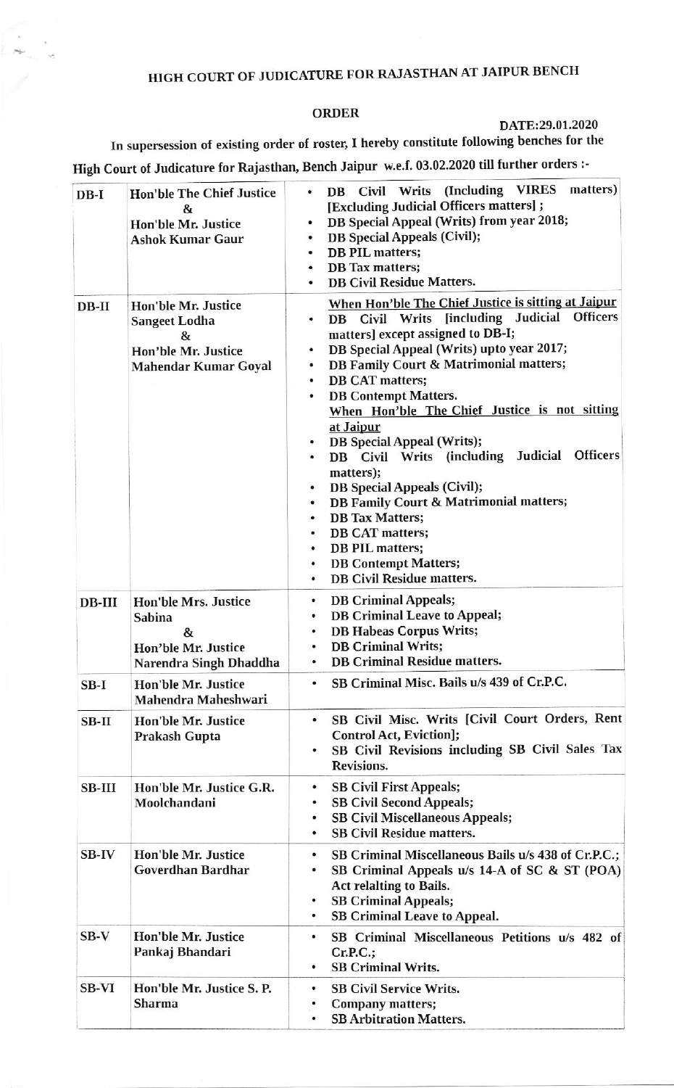## HIGH COURT OF JUDICATURE FOR RAJASTHAN AT JAIPUR BENCH

## **ORDER**

## DATE:29.01.2020

In supersession of existing order of roster, I hereby constitute following benches for the High Court of Judicature for Rajasthan, Bench Jaipur w.e.f. 03.02.2020 till further orders :-

| $DB-I$       | <b>Hon'ble The Chief Justice</b><br>&<br>Hon'ble Mr. Justice<br><b>Ashok Kumar Gaur</b>            | matters)<br>DB Civil Writs (Including VIRES<br>٠<br>[Excluding Judicial Officers matters] ;<br>DB Special Appeal (Writs) from year 2018;<br>۰<br><b>DB</b> Special Appeals (Civil);<br>٠<br>DB PIL matters;<br>٠<br><b>DB</b> Tax matters;<br>۰<br><b>DB Civil Residue Matters.</b>                                                                                                                                                                                                                                                                                                                                                                                                                                                                                                          |
|--------------|----------------------------------------------------------------------------------------------------|----------------------------------------------------------------------------------------------------------------------------------------------------------------------------------------------------------------------------------------------------------------------------------------------------------------------------------------------------------------------------------------------------------------------------------------------------------------------------------------------------------------------------------------------------------------------------------------------------------------------------------------------------------------------------------------------------------------------------------------------------------------------------------------------|
| $DB-II$      | Hon'ble Mr. Justice<br><b>Sangeet Lodha</b><br>&<br>Hon'ble Mr. Justice<br>Mahendar Kumar Goyal    | When Hon'ble The Chief Justice is sitting at Jaipur<br>DB Civil Writs [including Judicial Officers<br>٠<br>matters] except assigned to DB-I;<br>DB Special Appeal (Writs) upto year 2017;<br>٠<br><b>DB Family Court &amp; Matrimonial matters;</b><br>٠<br>DB CAT matters;<br>٠<br><b>DB Contempt Matters.</b><br>٠<br>When Hon'ble The Chief Justice is not sitting<br>at Jaipur<br><b>DB</b> Special Appeal (Writs);<br>Judicial<br><b>Officers</b><br>DB Civil Writs (including<br>٠<br>matters);<br><b>DB</b> Special Appeals (Civil);<br>٠<br><b>DB Family Court &amp; Matrimonial matters;</b><br>٠<br><b>DB</b> Tax Matters;<br>٠<br><b>DB CAT matters;</b><br>٠<br><b>DB PIL matters;</b><br>٠<br><b>DB Contempt Matters;</b><br>۰<br><b>DB Civil Residue matters.</b><br>$\bullet$ |
| $DB-III$     | <b>Hon'ble Mrs. Justice</b><br><b>Sabina</b><br>&<br>Hon'ble Mr. Justice<br>Narendra Singh Dhaddha | <b>DB Criminal Appeals;</b><br>٠<br><b>DB Criminal Leave to Appeal;</b><br>۰<br><b>DB Habeas Corpus Writs;</b><br>۰<br><b>DB Criminal Writs;</b><br>$\bullet$<br><b>DB Criminal Residue matters.</b><br>٠                                                                                                                                                                                                                                                                                                                                                                                                                                                                                                                                                                                    |
| $SB-I$       | Hon'ble Mr. Justice<br>Mahendra Maheshwari                                                         | SB Criminal Misc. Bails u/s 439 of Cr.P.C.                                                                                                                                                                                                                                                                                                                                                                                                                                                                                                                                                                                                                                                                                                                                                   |
| $SB-II$      | Hon'ble Mr. Justice<br>Prakash Gupta                                                               | SB Civil Misc. Writs [Civil Court Orders, Rent<br>$\bullet$<br><b>Control Act, Eviction];</b><br>SB Civil Revisions including SB Civil Sales Tax<br>٠<br>Revisions.                                                                                                                                                                                                                                                                                                                                                                                                                                                                                                                                                                                                                          |
| $SB-III$     | Hon'ble Mr. Justice G.R.<br>Moolchandani                                                           | <b>SB Civil First Appeals;</b><br>٠<br><b>SB Civil Second Appeals;</b><br>٠<br><b>SB Civil Miscellaneous Appeals;</b><br>٠<br><b>SB Civil Residue matters.</b><br>٠                                                                                                                                                                                                                                                                                                                                                                                                                                                                                                                                                                                                                          |
| <b>SB-IV</b> | <b>Hon'ble Mr. Justice</b><br>Goverdhan Bardhar                                                    | SB Criminal Miscellaneous Bails u/s 438 of Cr.P.C.;<br>$\bullet$<br>SB Criminal Appeals u/s 14-A of SC & ST (POA)<br>۰<br><b>Act relalting to Bails.</b><br><b>SB Criminal Appeals;</b><br>٠<br><b>SB Criminal Leave to Appeal.</b><br>۰                                                                                                                                                                                                                                                                                                                                                                                                                                                                                                                                                     |
| $SB-V$       | Hon'ble Mr. Justice<br>Pankaj Bhandari                                                             | SB Criminal Miscellaneous Petitions u/s 482 of<br>٠<br>Cr.P.C.;<br><b>SB Criminal Writs.</b><br>٠                                                                                                                                                                                                                                                                                                                                                                                                                                                                                                                                                                                                                                                                                            |
| <b>SB-VI</b> | Hon'ble Mr. Justice S. P.<br><b>Sharma</b>                                                         | <b>SB Civil Service Writs.</b><br>٠<br><b>Company matters;</b><br><b>SB Arbitration Matters.</b><br>٠                                                                                                                                                                                                                                                                                                                                                                                                                                                                                                                                                                                                                                                                                        |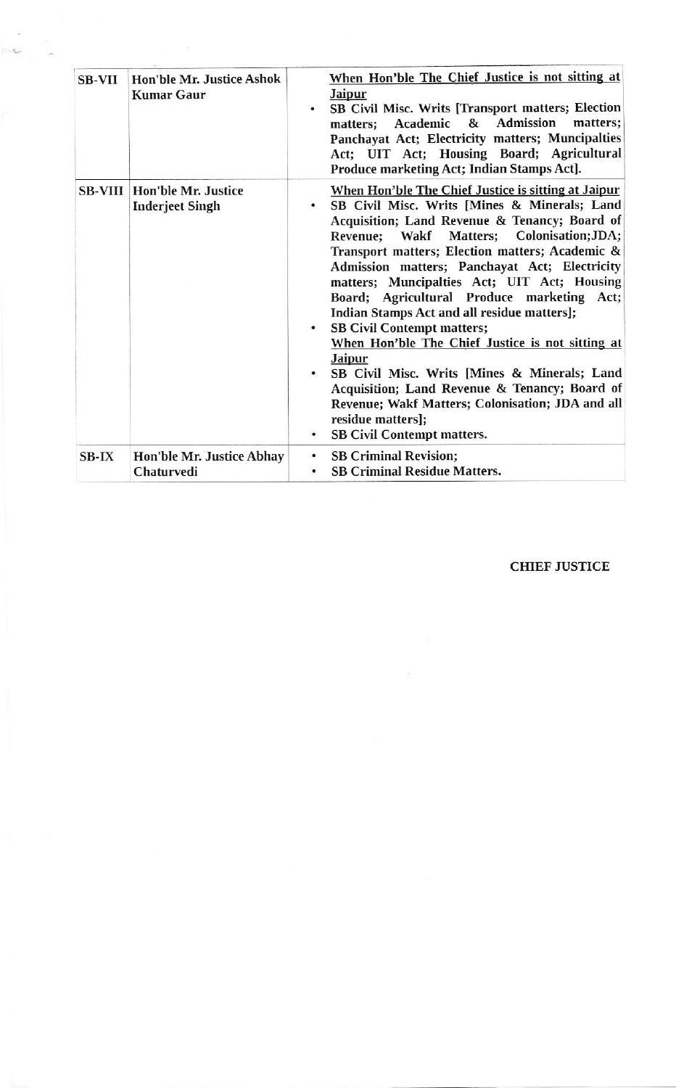| <b>SB-VII</b> | <b>Hon'ble Mr. Justice Ashok</b><br><b>Kumar Gaur</b>          | When Hon'ble The Chief Justice is not sitting at<br><b>Jaipur</b><br>SB Civil Misc. Writs [Transport matters; Election<br>۰<br>Academic & Admission<br>matters;<br>matters;<br>Panchayat Act; Electricity matters; Muncipalties<br>Act; UIT Act; Housing Board; Agricultural<br>Produce marketing Act; Indian Stamps Act].                                                                                                                                                                                                                                                                                                                                                                                                                                                                                |
|---------------|----------------------------------------------------------------|-----------------------------------------------------------------------------------------------------------------------------------------------------------------------------------------------------------------------------------------------------------------------------------------------------------------------------------------------------------------------------------------------------------------------------------------------------------------------------------------------------------------------------------------------------------------------------------------------------------------------------------------------------------------------------------------------------------------------------------------------------------------------------------------------------------|
|               | <b>SB-VIII   Hon'ble Mr. Justice</b><br><b>Inderjeet Singh</b> | When Hon'ble The Chief Justice is sitting at Jaipur<br>SB Civil Misc. Writs [Mines & Minerals; Land<br>$\bullet$<br>Acquisition; Land Revenue & Tenancy; Board of<br>Revenue; Wakf Matters; Colonisation; JDA;<br>Transport matters; Election matters; Academic &<br>Admission matters; Panchayat Act; Electricity<br>matters; Muncipalties Act; UIT Act; Housing<br>Board; Agricultural Produce marketing Act;<br>Indian Stamps Act and all residue matters];<br><b>SB Civil Contempt matters;</b><br>When Hon'ble The Chief Justice is not sitting at<br><b>Jaipur</b><br>SB Civil Misc. Writs [Mines & Minerals; Land<br>$\bullet$<br>Acquisition; Land Revenue & Tenancy; Board of<br>Revenue; Wakf Matters; Colonisation; JDA and all<br>residue matters];<br><b>SB Civil Contempt matters.</b><br>٠ |
| $SB-IX$       | Hon'ble Mr. Justice Abhay<br>Chaturvedi                        | <b>SB Criminal Revision;</b><br>٠<br><b>SB Criminal Residue Matters.</b>                                                                                                                                                                                                                                                                                                                                                                                                                                                                                                                                                                                                                                                                                                                                  |

 $\overline{\phantom{a}}$  $\sim$ 

**CHIEF JUSTICE**